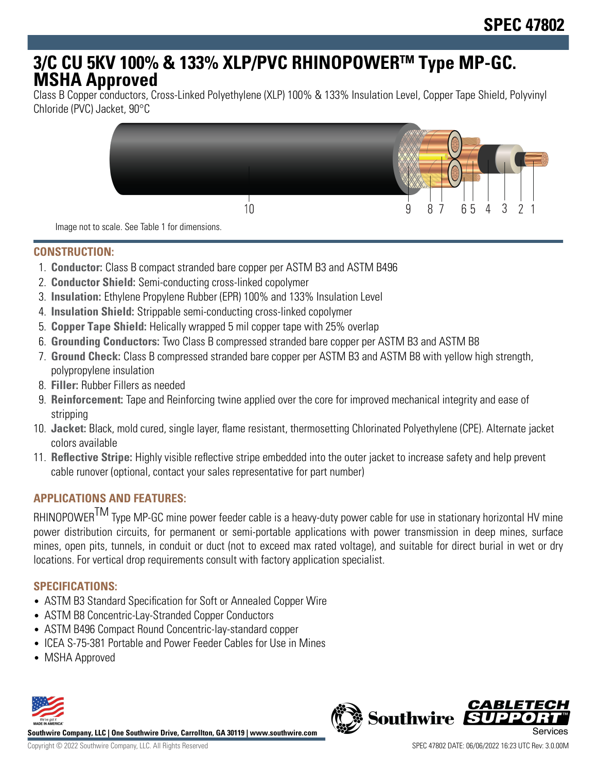# **3/C CU 5KV 100% & 133% XLP/PVC RHINOPOWERTM Type MP-GC. MSHA Approved**

Class B Copper conductors, Cross-Linked Polyethylene (XLP) 100% & 133% Insulation Level, Copper Tape Shield, Polyvinyl Chloride (PVC) Jacket, 90°C



Image not to scale. See Table 1 for dimensions.

#### **CONSTRUCTION:**

- 1. **Conductor:** Class B compact stranded bare copper per ASTM B3 and ASTM B496
- 2. **Conductor Shield:** Semi-conducting cross-linked copolymer
- 3. **Insulation:** Ethylene Propylene Rubber (EPR) 100% and 133% Insulation Level
- 4. **Insulation Shield:** Strippable semi-conducting cross-linked copolymer
- 5. **Copper Tape Shield:** Helically wrapped 5 mil copper tape with 25% overlap
- 6. **Grounding Conductors:** Two Class B compressed stranded bare copper per ASTM B3 and ASTM B8
- 7. **Ground Check:** Class B compressed stranded bare copper per ASTM B3 and ASTM B8 with yellow high strength, polypropylene insulation
- 8. **Filler:** Rubber Fillers as needed
- 9. **Reinforcement:** Tape and Reinforcing twine applied over the core for improved mechanical integrity and ease of stripping
- 10. **Jacket:** Black, mold cured, single layer, flame resistant, thermosetting Chlorinated Polyethylene (CPE). Alternate jacket colors available
- 11. **Reflective Stripe:** Highly visible reflective stripe embedded into the outer jacket to increase safety and help prevent cable runover (optional, contact your sales representative for part number)

## **APPLICATIONS AND FEATURES:**

RHINOPOWER<sup>TM</sup> Type MP-GC mine power feeder cable is a heavy-duty power cable for use in stationary horizontal HV mine power distribution circuits, for permanent or semi-portable applications with power transmission in deep mines, surface mines, open pits, tunnels, in conduit or duct (not to exceed max rated voltage), and suitable for direct burial in wet or dry locations. For vertical drop requirements consult with factory application specialist.

## **SPECIFICATIONS:**

- ASTM B3 Standard Specification for Soft or Annealed Copper Wire
- ASTM B8 Concentric-Lay-Stranded Copper Conductors
- ASTM B496 Compact Round Concentric-lay-standard copper
- ICEA S-75-381 Portable and Power Feeder Cables for Use in Mines
- MSHA Approved



**Southwire Company, LLC | One Southwire Drive, Carrollton, GA 30119 | www.southwire.com**

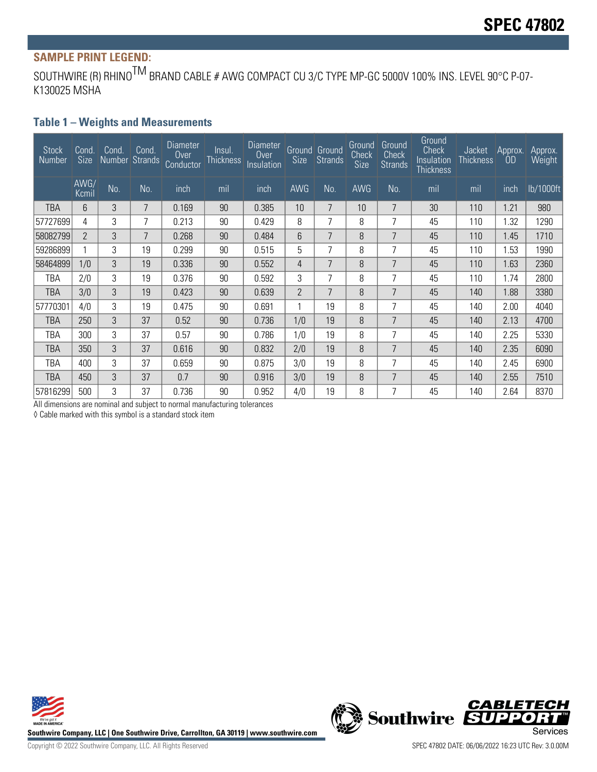# **SAMPLE PRINT LEGEND:**

SOUTHWIRE (R) RHINO<sup>TM</sup> BRAND CABLE # AWG COMPACT CU 3/C TYPE MP-GC 5000V 100% INS. LEVEL 90°C P-07-K130025 MSHA

#### **Table 1 – Weights and Measurements**

| <b>Stock</b><br>Number | Cond.<br>Size | Cond.<br>Number Strands | Cond. | Diameter<br>0 <sub>ver</sub><br>Conductor | Insul.<br><b>Thickness</b> | Diameter<br>Over<br>Insulation | Size           | Ground Ground<br><b>Strands</b> | Ground<br>Check<br>Size | Ground<br>Check<br><b>Strands</b> | Ground<br><b>Check</b><br>Insulation<br>Thickness | <b>Jacket</b><br><b>Thickness</b> | Approx.<br>OD | Approx.<br><b>Weight</b> |
|------------------------|---------------|-------------------------|-------|-------------------------------------------|----------------------------|--------------------------------|----------------|---------------------------------|-------------------------|-----------------------------------|---------------------------------------------------|-----------------------------------|---------------|--------------------------|
|                        | AWG/<br>Kcmil | No.                     | No.   | inch                                      | mil                        | inch                           | AWG            | No.                             | <b>AWG</b>              | No.                               | mil                                               | mil                               | inch          | lb/1000ft                |
| TBA                    | 6             | 3                       | 7     | 0.169                                     | 90                         | 0.385                          | 10             | 7                               | 10 <sup>1</sup>         | 7                                 | 30                                                | 110                               | 1.21          | 980                      |
| 57727699               | 4             | 3                       | 7     | 0.213                                     | 90                         | 0.429                          | 8              | 7                               | 8                       | 7                                 | 45                                                | 110                               | 1.32          | 1290                     |
| 58082799               | 2             | 3                       | 7     | 0.268                                     | 90                         | 0.484                          | 6              | 7                               | 8                       | 7                                 | 45                                                | 110                               | 1.45          | 1710                     |
| 59286899               |               | 3                       | 19    | 0.299                                     | 90                         | 0.515                          | 5              | 7                               | 8                       | 7                                 | 45                                                | 110                               | 1.53          | 1990                     |
| 58464899               | 1/0           | 3                       | 19    | 0.336                                     | 90                         | 0.552                          | 4              | 7                               | 8                       | 7                                 | 45                                                | 110                               | 1.63          | 2360                     |
| TBA                    | 2/0           | 3                       | 19    | 0.376                                     | 90                         | 0.592                          | 3              | 7                               | 8                       | 7                                 | 45                                                | 110                               | 1.74          | 2800                     |
| TBA                    | 3/0           | 3                       | 19    | 0.423                                     | 90                         | 0.639                          | $\overline{2}$ | 7                               | 8                       | 7                                 | 45                                                | 140                               | 1.88          | 3380                     |
| 57770301               | 4/0           | 3                       | 19    | 0.475                                     | 90                         | 0.691                          |                | 19                              | 8                       | 7                                 | 45                                                | 140                               | 2.00          | 4040                     |
| TBA                    | 250           | 3                       | 37    | 0.52                                      | 90                         | 0.736                          | 1/0            | 19                              | 8                       | 7                                 | 45                                                | 140                               | 2.13          | 4700                     |
| TBA                    | 300           | 3                       | 37    | 0.57                                      | 90                         | 0.786                          | 1/0            | 19                              | 8                       | 7                                 | 45                                                | 140                               | 2.25          | 5330                     |
| TBA                    | 350           | 3                       | 37    | 0.616                                     | 90                         | 0.832                          | 2/0            | 19                              | 8                       | 7                                 | 45                                                | 140                               | 2.35          | 6090                     |
| TBA                    | 400           | 3                       | 37    | 0.659                                     | 90                         | 0.875                          | 3/0            | 19                              | 8                       | 7                                 | 45                                                | 140                               | 2.45          | 6900                     |
| TBA                    | 450           | 3                       | 37    | 0.7                                       | 90                         | 0.916                          | 3/0            | 19                              | 8                       | 7                                 | 45                                                | 140                               | 2.55          | 7510                     |
| 57816299               | 500           | 3                       | 37    | 0.736                                     | 90                         | 0.952                          | 4/0            | 19                              | 8                       | 7                                 | 45                                                | 140                               | 2.64          | 8370                     |

All dimensions are nominal and subject to normal manufacturing tolerances

◊ Cable marked with this symbol is a standard stock item